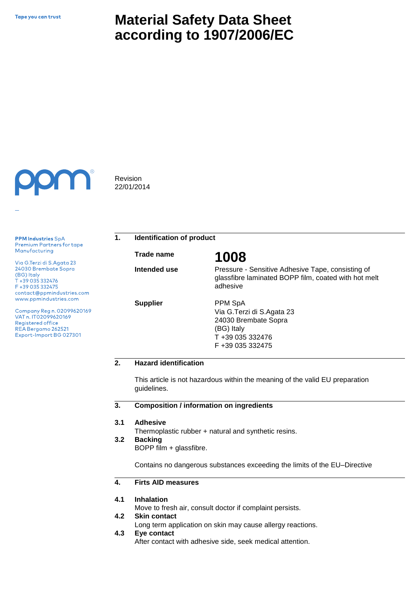# **Material Safety Data Sheet according to 1907/2006/EC**



Revision 22/01/2014

**PPM Industries SpA** Premium Partners for tape Manufacturing

Via G.Terzi di S.Agata 23 24030 Brembate Sopra (BG) Italy T +39 035 332476 F+39 035 332475 contact@ppmindustries.com www.ppmindustries.com

Company Reg n. 02099620169 VAT n. IT02099620169 Registered office REA Bergamo 262521 Export-Import BG 027301

**1. Identification of product**

**Trade name 1008** 

**Intended use** 

**Supplier**

Pressure - Sensitive Adhesive Tape, consisting of glassfibre laminated BOPP film, coated with hot melt adhesive

PPM SpA Via G.Terzi di S.Agata 23 24030 Brembate Sopra (BG) Italy T +39 035 332476 F +39 035 332475

## **2. Hazard identification**

This article is not hazardous within the meaning of the valid EU preparation guidelines.

#### **3. Composition / information on ingredients**

#### **3.1 Adhesive**

Thermoplastic rubber + natural and synthetic resins.

#### **3.2 Backing**

BOPP film + glassfibre.

Contains no dangerous substances exceeding the limits of the EU–Directive

#### **4. Firts AID measures**

#### **4.1 Inhalation**

Move to fresh air, consult doctor if complaint persists.

#### **4.2 Skin contact**

Long term application on skin may cause allergy reactions.

**4.3 Eye contact**

After contact with adhesive side, seek medical attention.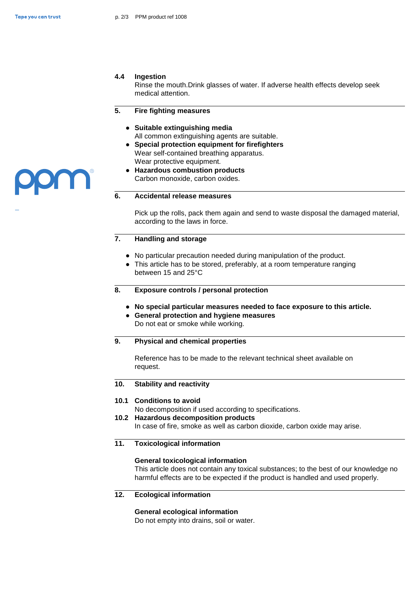### **4.4 Ingestion**

Rinse the mouth.Drink glasses of water. If adverse health effects develop seek medical attention.

#### **5. Fire fighting measures**

- **● Suitable extinguishing media** All common extinguishing agents are suitable.
- **● Special protection equipment for firefighters**  Wear self-contained breathing apparatus. Wear protective equipment.
- **● Hazardous combustion products** Carbon monoxide, carbon oxides.

### **6. Accidental release measures**

Pick up the rolls, pack them again and send to waste disposal the damaged material, according to the laws in force.

### **7. Handling and storage**

- **●** No particular precaution needed during manipulation of the product.
- **●** This article has to be stored, preferably, at a room temperature ranging between 15 and 25°C
- **8. Exposure controls / personal protection**
	- **● No special particular measures needed to face exposure to this article.**
	- **● General protection and hygiene measures**  Do not eat or smoke while working.

### **9. Physical and chemical properties**

Reference has to be made to the relevant technical sheet available on request.

#### **10. Stability and reactivity**

### **10.1 Conditions to avoid**

No decomposition if used according to specifications.

**10.2 Hazardous decomposition products**

In case of fire, smoke as well as carbon dioxide, carbon oxide may arise.

### **11. Toxicological information**

### **General toxicological information**

This article does not contain any toxical substances; to the best of our knowledge no harmful effects are to be expected if the product is handled and used properly.

**12. Ecological information**

### **General ecological information**

Do not empty into drains, soil or water.